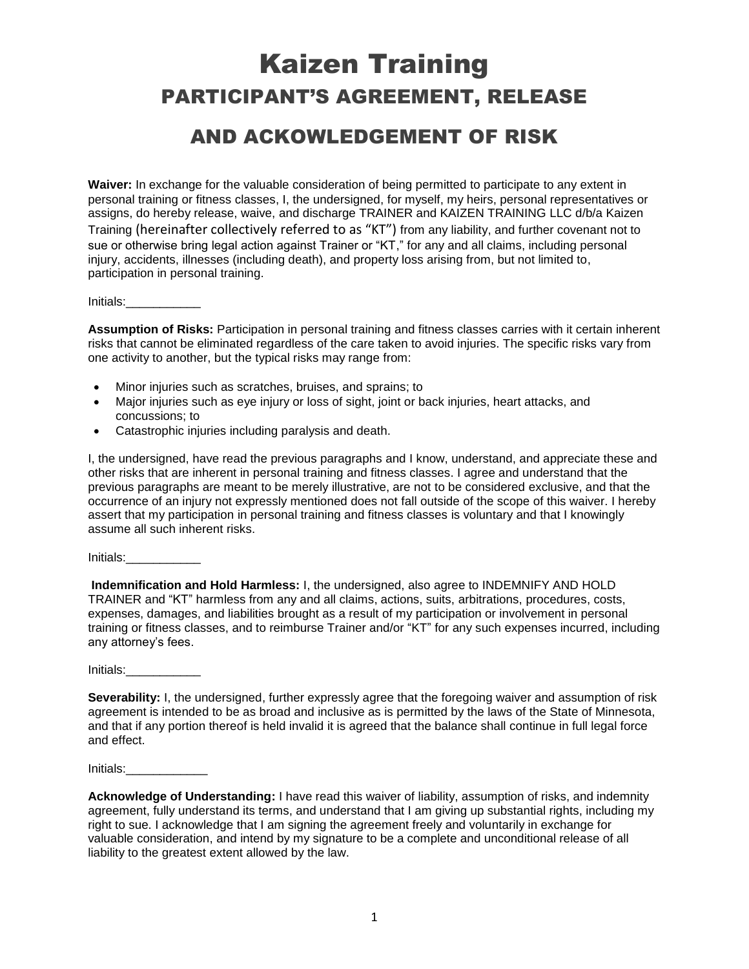## Kaizen Training PARTICIPANT'S AGREEMENT, RELEASE

## AND ACKOWLEDGEMENT OF RISK

**Waiver:** In exchange for the valuable consideration of being permitted to participate to any extent in personal training or fitness classes, I, the undersigned, for myself, my heirs, personal representatives or assigns, do hereby release, waive, and discharge TRAINER and KAIZEN TRAINING LLC d/b/a Kaizen Training (hereinafter collectively referred to as "KT") from any liability, and further covenant not to sue or otherwise bring legal action against Trainer or "KT," for any and all claims, including personal injury, accidents, illnesses (including death), and property loss arising from, but not limited to, participation in personal training.

Initials:\_\_\_\_\_\_\_\_\_\_\_

**Assumption of Risks:** Participation in personal training and fitness classes carries with it certain inherent risks that cannot be eliminated regardless of the care taken to avoid injuries. The specific risks vary from one activity to another, but the typical risks may range from:

- Minor injuries such as scratches, bruises, and sprains; to
- Major injuries such as eye injury or loss of sight, joint or back injuries, heart attacks, and concussions; to
- Catastrophic injuries including paralysis and death.

I, the undersigned, have read the previous paragraphs and I know, understand, and appreciate these and other risks that are inherent in personal training and fitness classes. I agree and understand that the previous paragraphs are meant to be merely illustrative, are not to be considered exclusive, and that the occurrence of an injury not expressly mentioned does not fall outside of the scope of this waiver. I hereby assert that my participation in personal training and fitness classes is voluntary and that I knowingly assume all such inherent risks.

Initials:

**Indemnification and Hold Harmless:** I, the undersigned, also agree to INDEMNIFY AND HOLD TRAINER and "KT" harmless from any and all claims, actions, suits, arbitrations, procedures, costs, expenses, damages, and liabilities brought as a result of my participation or involvement in personal training or fitness classes, and to reimburse Trainer and/or "KT" for any such expenses incurred, including any attorney's fees.

Initials:\_\_\_\_\_\_\_\_\_\_\_

**Severability:** I, the undersigned, further expressly agree that the foregoing waiver and assumption of risk agreement is intended to be as broad and inclusive as is permitted by the laws of the State of Minnesota, and that if any portion thereof is held invalid it is agreed that the balance shall continue in full legal force and effect.

Initials:

**Acknowledge of Understanding:** I have read this waiver of liability, assumption of risks, and indemnity agreement, fully understand its terms, and understand that I am giving up substantial rights, including my right to sue. I acknowledge that I am signing the agreement freely and voluntarily in exchange for valuable consideration, and intend by my signature to be a complete and unconditional release of all liability to the greatest extent allowed by the law.